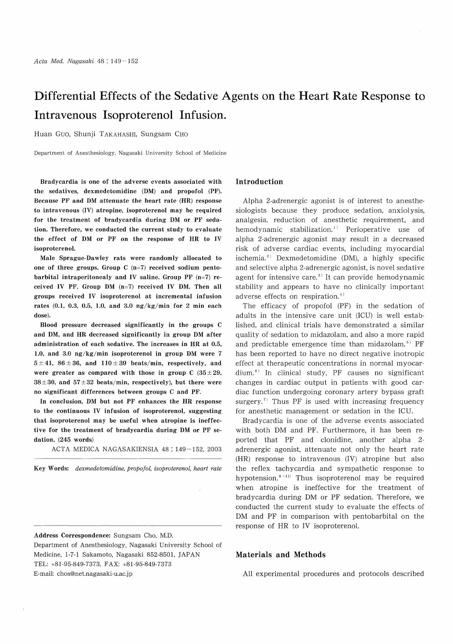# Differential Effects of the Sedative Agents on the Heart Rate Response to Intravenous Isoproterenol Infusion.

Huan Guo, Shunji TAKAHASHI, Sungsam CHO

Department of Anesthesiology, Nagasaki University School of Medicine

Bradycardia is one of the adverse events associated with the sedatives, dexmedetomidine (DM) and propofol (PF). Because PF and DM attenuate the heart rate (HR) response to intravenous (IV) atropine, isoproterenol may be required for the treatment of bradycardia during DM or PF sedation. Therefore, we conducted the current study to evaluate the effect of DM or PF on the response of HR to IV isoproterenol.

Male Sprague-Dawley rats were randomly allocated to one of three groups. Group C (n=7) received sodium pentobarbital intraperitonealy and IV saline. Group PF (n=7) received IV PF. Group DM (n=7) received IV DM. Then all groups received IV isoproterenol at incremental infusion rates (0.1, 0.3, 0.5, 1.0, and 3.0 ng/kg/min for 2 min each dose).

Blood pressure decreased significantly in the groups C and DM, and HR decreased significantly in group DM after administration of each sedative. The increases in HR at 0.5, 1.0, and 3.0 ng/kg/min isoproterenol in group DM were 7  $5±41$ ,  $86±36$ , and  $110±39$  beats/min, respectively, and were greater as compared with those in group C  $(35\pm29,$  $38\pm30$ , and  $57\pm32$  beats/min, respectively), but there were no significant differences between groups C and PF.

In conclusion, DM but not PF enhances the HR response to the continuous IV infusion of isoproterenol, suggesting that isoproterenol may be useful when atropine is ineffective for the treatment of bradycardia during DM or PF sedation. (245 words)

ACTA MEDICA NAGASAKIENSIA 48: 149-152, 2003

Key Words: dexmedetomidine, propofol, isoproterenol, heart rate

Address Correspondence: Sungsam Cho, M.D. Department of Anesthesiology, Nagasaki University School of Medicine, 1-7-1 Sakamoto, Nagasaki 852-8501, JAPAN TEL: +81-95-849-7373, FAX: +81-95-849-7373 E-mail: chos@net.nagasaki-u.ac.jp

# Introduction

Alpha 2-adrenergic agonist is of interest to anesthesiologists because they produce sedation, anxiolysis, analgesia, reduction of anesthetic requirement, and hemodynamic stabilization.<sup>1)</sup> Perioperative use of alpha 2-adrenergic agonist may result in a decreased risk of adverse cardiac events, including myocardial ischemia.<sup>2)</sup> Dexmedetomidine (DM), a highly specific and selective alpha 2-adrenergic agonist, is novel sedative agent for intensive care.<sup>3)</sup> It can provide hemodynamic stability and appears to have no clinically important adverse effects on respiration.<sup>4)</sup>

The efficacy of propofol (PF) in the sedation of adults in the intensive care unit (ICU) is well established, and clinical trials have demonstrated a similar quality of sedation to midazolam, and also a more rapid and predictable emergence time than midazolam.<sup>5)</sup> PF has been reported to have no direct negative inotropic effect at therapeutic concentrations in normal myocar $dium.<sup>6</sup>$  In clinical study, PF causes no significant changes in cardiac output in patients with good cardiac function undergoing coronary artery bypass graft surgery.<sup> $7)$ </sup> Thus PF is used with increasing frequency for anesthetic management or sedation in the ICU.

Bradycardia is one of the adverse events associated with both DM and PF. Furthermore, it has been reported that PF and clonidine, another alpha 2 adrenergic agonist, attenuate not only the heart rate (HR) response to intravenous (IV) atropine but also the reflex tachycardia and sympathetic response to hypotension. $8 - 11$ ) Thus isoproterenol may be required when atropine is ineffective for the treatment of bradycardia during DM or PF sedation. Therefore, we conducted the current study to evaluate the effects of DM and PF in comparison with pentobarbital on the response of HR to IV isoproterenol.

# Materials and Methods

All experimental procedures and protocols described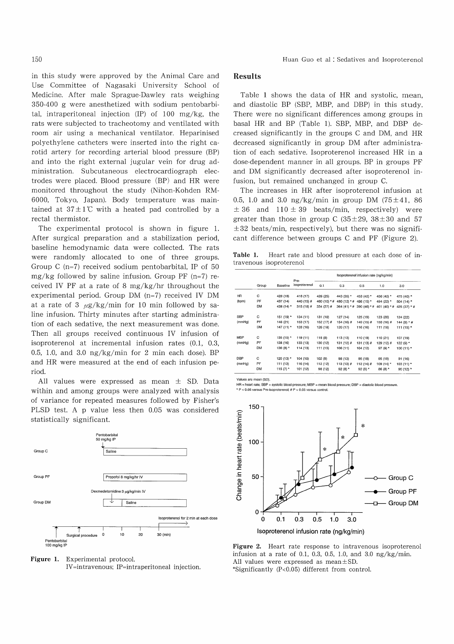in this study were approved by the Animal Care and Use Committee of Nagasaki University School of Medicine. After male Sprague-Dawley rats weighing 350-400 g were anesthetized with sodium pentobarbital, intraperitoneal injection (IP) of 100 mg/kg, the rats were subjected to tracheotomy and ventilated with room air using a mechanical ventilator. Heparinised polyethylene catheters were inserted into the right carotid artery for recording arterial blood pressure (BP) and into the right external jugular vein for drug administration. Subcutaneous electrocardiograph electrodes were placed. Blood pressure (BP) and HR were monitored throughout the study (Nihon-Kohden RM-6000, Tokyo, Japan). Body temperature was maintained at  $37 \pm 1$ °C with a heated pad controlled by a rectal thermistor.

The experimental protocol is shown in figure 1. After surgical preparation and a stabilization period, baseline hemodynamic data were collected. The rats were randomly allocated to one of three groups. Group C  $(n=7)$  received sodium pentobarbital, IP of 50 mg/kg followed by saline infusion. Group PF  $(n=7)$  received IV PF at a rate of 8 mg/kg/hr throughout the experimental period. Group DM (n=7) received IV DM at a rate of 3  $\mu$ g/kg/min for 10 min followed by saline infusion. Thirty minutes after starting administration of each sedative, the next measurement was done. Then all groups received continuous IV infusion of isoproterenol at incremental infusion rates (0.1, 0.3, 0.5, 1.0, and 3.0  $\frac{ng}{kg/min}$  for 2 min each dose). BP and HR were measured at the end of each infusion period.

All values were expressed as mean  $\pm$  SD. Data within and among groups were analyzed with analysis of variance for repeated measures followed by Fisher's PLSD test. A p value less then 0.05 was considered statistically significant.





## Results

Table 1 shows the data of HR and systolic, mean, and diastolic BP (SBP, MBP, and DBP) in this study. There were no significant differences among groups in basal HR and BP (Table 1). SBP, MBP, and DBP decreased significantly in the groups C and DM, and HR decreased significantly in group DM after administration of each sedative. Isoproterenol increased HR in a dose-dependent manner in all groups. BP in groups PF and DM significantly decreased after isoproterenol infusion, but remained unchanged in group C.

The increases in HR after isoproterenol infusion at 0.5, 1.0 and 3.0 ng/kg/min in group DM  $(75 \pm 41, 86)$  $\pm$  36 and 110  $\pm$  39 beats/min, respectively) were greater than those in group C  $(35\pm29, 38\pm30, 57)$  $\pm 32$  beats/min, respectively), but there was no significant difference between groups C and PF (Figure 2).

Table 1. Heart rate and blood pressure at each dose of intravenous isoproterenol

|            | Group     | <b>Baseline</b> | Pre-<br>isoproterenol | Isoproterenol infusion rate (ng/kg/min) |              |              |              |               |
|------------|-----------|-----------------|-----------------------|-----------------------------------------|--------------|--------------|--------------|---------------|
|            |           |                 |                       | 0.1                                     | 0.3          | 0.5          | 1.0          | 3.0           |
| HR         | с         | 428 (18)        | 418 (17)              | 426 (25)                                | 443 (35) *   | 453 (42) *   | 456 (42) *   | 475 (40) *    |
| (bpm)      | PF        | 437 (14)        | 440 (15) #            | 460 (10) * #                            | 480 (12) * # | 486 (15) *   | 494 (22) *   | 504 (14) *    |
|            | DМ        | 438 (14) *      | $315(18)$ #           | $334(27)$ #                             | 364 (41) * # | 390 (46) * # | 401 (40) * # | 425 (37) * #  |
| SBP        | c         | 151 (19) *      | 134 (11)              | 131 (10)                                | 127 (14)     | 125 (19)     | 123 (20)     | 124 (22)      |
| (mmHg)     | PF        | 148 (21)        | 153 (17)              | 152 $(17)$ #                            | 154 (16) #   | 149 (15) #   | 150 (16) #   | 144 (9) $*$ # |
|            | DM        | $147(11)*$      | 128 (16)              | 126 (18)                                | 120 (17)     | 116 (16)     | 111 (18)     | 111 (15) *    |
| <b>MBP</b> | с         | 135 (15) *      | 119 (11)              | 118 (8)                                 | 113 (13)     | 110 (19)     | 110 (21)     | 107 (19)      |
| (mmHg)     | PF        | 128 (16)        | 133 (13)              | 130 (12)                                | $131(12)$ #  | 131 (13) #   | 129 (12) #   | 122 $(9)$ *   |
|            | <b>DM</b> | 130 $(8)$ *     | 114 (13)              | 111 (13)                                | 106 (11)     | 104 (12)     | $97(9)$ *    | $100(11)*$    |
| DBP        | с         | 120 (13) *      | 104 (10)              | 102 (9)                                 | 98 (13)      | 95 (18)      | 95 (19)      | 91 (16)       |
| (mmHg)     | PF        | 111 (13)        | 116 (14)              | 112 (12)                                | $113(13)$ #  | $112(14)$ #  | 109 (14) $*$ | $103(11)*$    |
|            | DМ        | 115 $(7)$ *     | 101 (12)              | 98 (12)                                 | 92 $(8)$ *   | $92(9)$ *    | 86 (8) *     | 90 (12) *     |

Values are mean (SD).

HR = heart rate; SBP = systolic blood pressure; MBP = mean blood pressure; DBP = diastolic blood pressure. \* P < 0.05 versus Pre-isoproterenol; # P < 0.05 versus control



Isoproterenol infusion rate (ng/kg/min)

Figure 2. Heart rate response to intravenous isoproterenol infusion at a rate of 0.1, 0.3, 0.5, 1.0, and 3.0  $\frac{ng}{kg/min}$ . All values were expressed as mean±SD. \*Significantly (P<0 .05) different from control.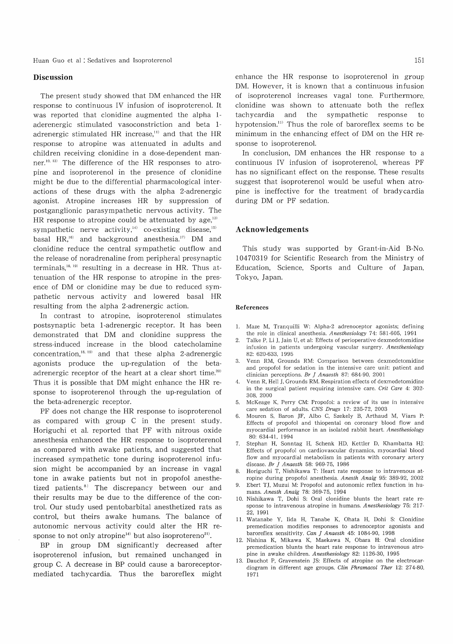## **Discussion**

The present study showed that DM enhanced the HR response to continuous IV infusion of isoproterenol. It was reported that clonidine augmented the alpha 1 aderenergic stimulated vasoconstriction and beta 1 adrenergic stimulated HR increase, $11$  and that the HR response to atropine was attenuated in adults and children receiving clonidine in a dose-dependent manner.<sup>10, 12)</sup> The difference of the HR responses to atropine and isoproterenol in the presence of clonidine might be due to the differential pharmacological interactions of these drugs with the alpha 2-adrenergic agonist. Atropine increases HR by suppression of postganglionic parasympathetic nervous activity. The HR response to atropine could be attenuated by age, $^{13}$ sympathetic nerve activity,<sup> $44$ </sup> co-existing disease, $15$ basal HR,<sup>16)</sup> and background anesthesia.<sup>17)</sup> DM and clonidine reduce the central sympathetic outflow and the release of noradrenaline from peripheral presynaptic terminals, $^{18, 19)}$  resulting in a decrease in HR. Thus attenuation of the HR response to atropine in the presence of DM or clonidine may be due to reduced sympathetic nervous activity and lowered basal HR resulting from the alpha 2-adrenergic action.

In contrast to atropine, isoproterenol stimulates postsynaptic beta 1-adrenergic receptor. It has been demonstrated that DM and clonidine suppress the stress-induced increase in the blood catecholamine concentration, $^{18, 19)}$  and that these alpha 2-adrenergic agonists produce the up-regulation of the betaadrenergic receptor of the heart at a clear short time.<sup>20)</sup> Thus it is possible that DM might enhance the HR response to isoproterenol through the up-regulation of the beta-adrenergic receptor.

PF does not change the HR response to isoproterenol as compared with group C in the present study. Horiguchi et al. reported that PF with nitrous oxide anesthesia enhanced the HR response to isoproterenol as compared with awake patients, and suggested that increased sympathetic tone during isoproterenol infusion might be accompanied by an increase in vagal tone in awake patients but not in propofol anesthetized patients.<sup>8)</sup> The discrepancy between our and their results may be due to the difference of the control. Our study used pentobarbital anesthetized rats as control, but theirs awake humans. The balance of autonomic nervous activity could alter the HR response to not only atropine<sup>14)</sup> but also isoprotereno<sup>21)</sup>.

BP in group DM significantly decreased after isoproterenol infusion, but remained unchanged in group C. A decrease in BP could cause a baroreceptormediated tachycardia. Thus the baroreflex might enhance the HR response to isoproterenol in group DM. However, it is known that a continuous infusion of isoproterenol increases vagal tone. Furthermore, clonidine was shown to attenuate both the reflex tachycardia and the sympathetic response to hypotension."' Thus the role of baroreflex seems to be minimum in the enhancing effect of DM on the HR response to isoproterenol.

In conclusion, DM enhances the HR response to a continuous IV infusion of isoproterenol, whereas PF has no significant effect on the response. These results suggest that isoproterenol would be useful when atropine is ineffective for the treatment of bradycardia during DM or PF sedation.

## Acknowledgements

This study was supported by Grant-in-Aid B-No. 10470319 for Scientific Research from the Ministry of Education, Science, Sports and Culture of Japan, Tokyo, Japan.

#### References

- 1. Maze M, Tranquilli W: Alpha-2 adrenoceptor agonists; defining the role in clinical anesthesia. Anesthesiology 74: 581-605, 1991
- 2. Talke P, Li J, Jain U, et al: Effects of perioperative dexmedetomidine infusion in patients undergoing vascular surgery. Anesthesiology 82: 620-633, 1995
- 3. Venn RM, Grounds RM: Comparison between dexmedetomidine and propofol for sedation in the intensive care unit: patient and clinician perceptions. Br *J Anaesth* 87: 684-90, 2001
- Venn R, Hell J, Grounds RM. Respiration effects of dexmedetomidine in the surgical patient requiring intensive care. Crit Care 4: 302-308,2000
- 5. McKeage K, Perry CM: Propofol: a review of its use in intensive care sedation of adults. CNS Drugs 17: 235-72, 2003
- 6. Mouren S, Baron JF, Albo C, Szekely B, Arthaud M, Viars P: Effects of propofol and thiopental on coronary blood flow and myocardial performance in an isolated rabbit heart. Anesthesiology 80: 634-41, 1994
- 7. Stephan H, Sonntag H, Schenk HD, Kettler D, Khambatta HJ: Effects of propofol on cardiovascular dynamics, myocardial blood flow and myocardial metabolism in patients with coronary artery disease. Br J Anaesth 58: 969-75, 1986
- 8. Horiguchi T, Nishikawa T: Heart rate response to intravenous atropine during propofol anesthesia. Anesth Analg 95: 389-92, 2002 9. Ebert TJ, Muzui M: Propofol and autonomic reflex function in hu-
- mans. Anesth Analg 78: 369-75, 1994 10. Nishikawa T, Dohi S: Oral clonidine blunts the heart rate re-
- sponse to intravenous atropine in humans. Anesthesiology 75: 217-22, 1991
- 11. Watanabe Y, lida H, Tanabe K, Ohata H, Dohi S: Clonidine premedication modifies responses to adrenoceptor agonists and baroreflex sensitivity. Can J Anaesth 45: 1084-90, 1998
- 12. Nishina K, Mikawa K, Maekawa N, Obara H: Oral clonidine premedication blunts the heart rate response to intravenous atropine in awake children. Anesthesiology 82: 1126-30, 1995
- 13. Dauchot P, Gravenstein JS: Effects of atropine on the electrocardiogram in different age groups. Clin Phramacol Ther 12: 274-80, 1971